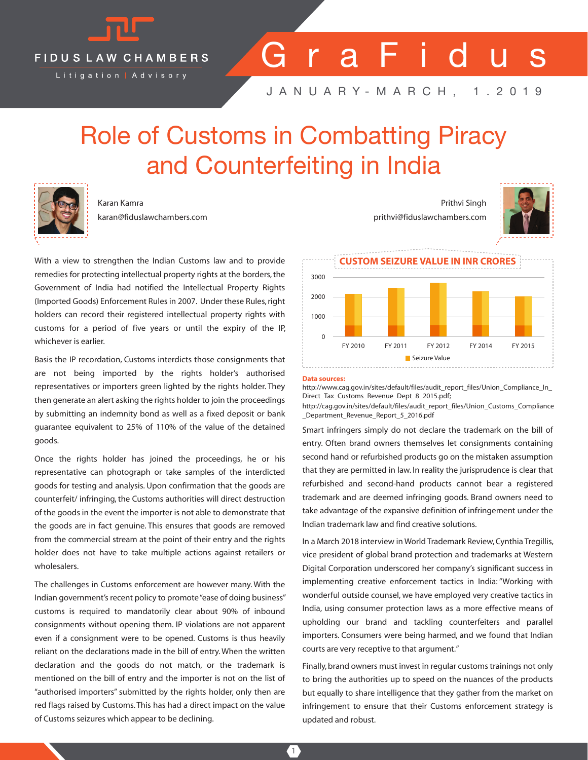

GraFidus

# Role of Customs in Combatting Piracy and Counterfeiting in India



Karan Kamra karan@fiduslawchambers.com

With a view to strengthen the Indian Customs law and to provide remedies for protecting intellectual property rights at the borders, the Government of India had notified the Intellectual Property Rights (Imported Goods) Enforcement Rules in 2007. Under these Rules, right holders can record their registered intellectual property rights with customs for a period of five years or until the expiry of the IP, whichever is earlier.

Basis the IP recordation, Customs interdicts those consignments that are not being imported by the rights holder's authorised representatives or importers green lighted by the rights holder. They then generate an alert asking the rights holder to join the proceedings by submitting an indemnity bond as well as a fixed deposit or bank guarantee equivalent to 25% of 110% of the value of the detained goods.

Once the rights holder has joined the proceedings, he or his representative can photograph or take samples of the interdicted goods for testing and analysis. Upon confirmation that the goods are counterfeit/ infringing, the Customs authorities will direct destruction of the goods in the event the importer is not able to demonstrate that the goods are in fact genuine. This ensures that goods are removed from the commercial stream at the point of their entry and the rights holder does not have to take multiple actions against retailers or wholesalers.

The challenges in Customs enforcement are however many. With the Indian government's recent policy to promote "ease of doing business" customs is required to mandatorily clear about 90% of inbound consignments without opening them. IP violations are not apparent even if a consignment were to be opened. Customs is thus heavily reliant on the declarations made in the bill of entry. When the written declaration and the goods do not match, or the trademark is mentioned on the bill of entry and the importer is not on the list of "authorised importers" submitted by the rights holder, only then are red flags raised by Customs. This has had a direct impact on the value of Customs seizures which appear to be declining.

prithvi@fiduslawchambers.com

Prithvi Singh





#### **Data sources:**

http://www.cag.gov.in/sites/default/files/audit\_report\_files/Union\_Compliance\_In Direct\_Tax\_Customs\_Revenue\_Dept\_8\_2015.pdf;

http://cag.gov.in/sites/default/files/audit\_report\_files/Union\_Customs\_Compliance \_Department\_Revenue\_Report\_5\_2016.pdf

Smart infringers simply do not declare the trademark on the bill of entry. Often brand owners themselves let consignments containing second hand or refurbished products go on the mistaken assumption that they are permitted in law. In reality the jurisprudence is clear that refurbished and second-hand products cannot bear a registered trademark and are deemed infringing goods. Brand owners need to take advantage of the expansive definition of infringement under the Indian trademark law and find creative solutions.

In a March 2018 interview in World Trademark Review, Cynthia Tregillis, vice president of global brand protection and trademarks at Western Digital Corporation underscored her company's significant success in implementing creative enforcement tactics in India: "Working with wonderful outside counsel, we have employed very creative tactics in India, using consumer protection laws as a more effective means of upholding our brand and tackling counterfeiters and parallel importers. Consumers were being harmed, and we found that Indian courts are very receptive to that argument."

Finally, brand owners must invest in regular customs trainings not only to bring the authorities up to speed on the nuances of the products but equally to share intelligence that they gather from the market on infringement to ensure that their Customs enforcement strategy is updated and robust.

 $(1)$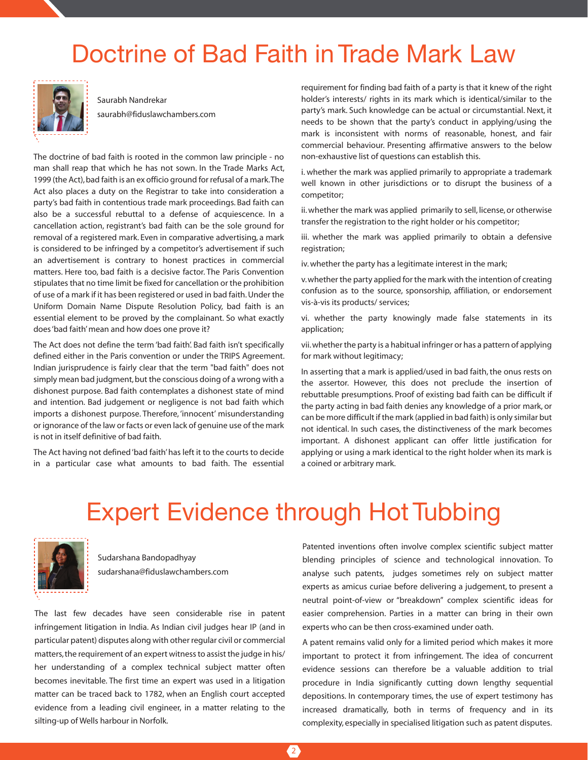## Doctrine of Bad Faith in Trade Mark Law



Saurabh Nandrekar saurabh@fiduslawchambers.com

The doctrine of bad faith is rooted in the common law principle - no man shall reap that which he has not sown. In the Trade Marks Act, 1999 (the Act), bad faith is an ex officio ground for refusal of a mark. The Act also places a duty on the Registrar to take into consideration a party's bad faith in contentious trade mark proceedings. Bad faith can also be a successful rebuttal to a defense of acquiescence. In a cancellation action, registrant's bad faith can be the sole ground for removal of a registered mark. Even in comparative advertising, a mark is considered to be infringed by a competitor's advertisement if such an advertisement is contrary to honest practices in commercial matters. Here too, bad faith is a decisive factor. The Paris Convention stipulates that no time limit be fixed for cancellation or the prohibition of use of a mark if it has been registered or used in bad faith. Under the Uniform Domain Name Dispute Resolution Policy, bad faith is an essential element to be proved by the complainant. So what exactly does 'bad faith' mean and how does one prove it?

The Act does not define the term 'bad faith'. Bad faith isn't specifically defined either in the Paris convention or under the TRIPS Agreement. Indian jurisprudence is fairly clear that the term "bad faith" does not simply mean bad judgment, but the conscious doing of a wrong with a dishonest purpose. Bad faith contemplates a dishonest state of mind and intention. Bad judgement or negligence is not bad faith which imports a dishonest purpose. Therefore, 'innocent' misunderstanding or ignorance of the law or facts or even lack of genuine use of the mark is not in itself definitive of bad faith.

The Act having not defined 'bad faith' has left it to the courts to decide in a particular case what amounts to bad faith. The essential requirement for finding bad faith of a party is that it knew of the right holder's interests/ rights in its mark which is identical/similar to the party's mark. Such knowledge can be actual or circumstantial. Next, it needs to be shown that the party's conduct in applying/using the mark is inconsistent with norms of reasonable, honest, and fair commercial behaviour. Presenting affirmative answers to the below non-exhaustive list of questions can establish this.

i. whether the mark was applied primarily to appropriate a trademark well known in other jurisdictions or to disrupt the business of a competitor;

ii. whether the mark was applied primarily to sell, license, or otherwise transfer the registration to the right holder or his competitor;

iii. whether the mark was applied primarily to obtain a defensive registration;

iv. whether the party has a legitimate interest in the mark;

v. whether the party applied for the mark with the intention of creating confusion as to the source, sponsorship, affiliation, or endorsement vis-à-vis its products/ services;

vi. whether the party knowingly made false statements in its application;

vii. whether the party is a habitual infringer or has a pattern of applying for mark without legitimacy;

In asserting that a mark is applied/used in bad faith, the onus rests on the assertor. However, this does not preclude the insertion of rebuttable presumptions. Proof of existing bad faith can be difficult if the party acting in bad faith denies any knowledge of a prior mark, or can be more difficult if the mark (applied in bad faith) is only similar but not identical. In such cases, the distinctiveness of the mark becomes important. A dishonest applicant can offer little justification for applying or using a mark identical to the right holder when its mark is a coined or arbitrary mark.

## Expert Evidence through Hot Tubbing



Sudarshana Bandopadhyay sudarshana@fiduslawchambers.com

The last few decades have seen considerable rise in patent infringement litigation in India. As Indian civil judges hear IP (and in particular patent) disputes along with other regular civil or commercial matters, the requirement of an expert witness to assist the judge in his/ her understanding of a complex technical subject matter often becomes inevitable. The first time an expert was used in a litigation matter can be traced back to 1782, when an English court accepted evidence from a leading civil engineer, in a matter relating to the silting-up of Wells harbour in Norfolk.

Patented inventions often involve complex scientific subject matter blending principles of science and technological innovation. To analyse such patents, judges sometimes rely on subject matter experts as amicus curiae before delivering a judgement, to present a neutral point-of-view or "breakdown" complex scientific ideas for easier comprehension. Parties in a matter can bring in their own experts who can be then cross-examined under oath.

A patent remains valid only for a limited period which makes it more important to protect it from infringement. The idea of concurrent evidence sessions can therefore be a valuable addition to trial procedure in India significantly cutting down lengthy sequential depositions. In contemporary times, the use of expert testimony has increased dramatically, both in terms of frequency and in its complexity, especially in specialised litigation such as patent disputes.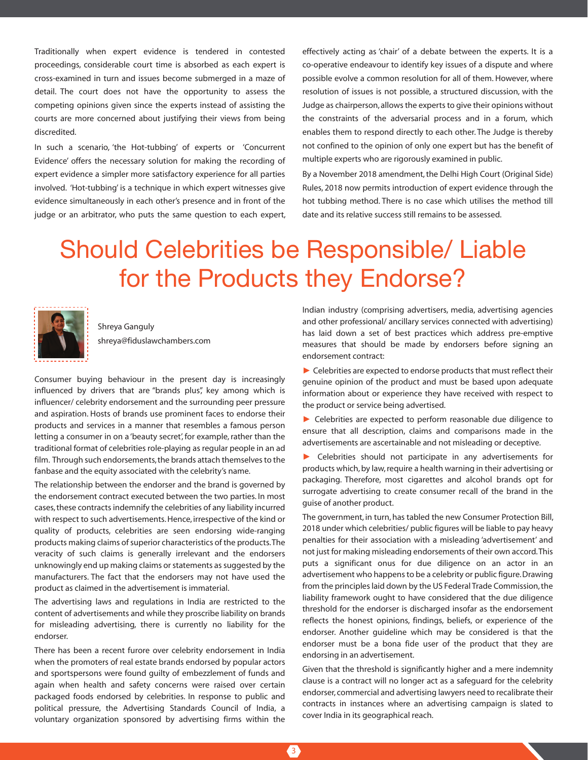Traditionally when expert evidence is tendered in contested proceedings, considerable court time is absorbed as each expert is cross-examined in turn and issues become submerged in a maze of detail. The court does not have the opportunity to assess the competing opinions given since the experts instead of assisting the courts are more concerned about justifying their views from being discredited.

In such a scenario, 'the Hot-tubbing' of experts or 'Concurrent Evidence' offers the necessary solution for making the recording of expert evidence a simpler more satisfactory experience for all parties involved. 'Hot-tubbing' is a technique in which expert witnesses give evidence simultaneously in each other's presence and in front of the judge or an arbitrator, who puts the same question to each expert, effectively acting as 'chair' of a debate between the experts. It is a co-operative endeavour to identify key issues of a dispute and where possible evolve a common resolution for all of them. However, where resolution of issues is not possible, a structured discussion, with the Judge as chairperson, allows the experts to give their opinions without the constraints of the adversarial process and in a forum, which enables them to respond directly to each other. The Judge is thereby not confined to the opinion of only one expert but has the benefit of multiple experts who are rigorously examined in public.

By a November 2018 amendment, the Delhi High Court (Original Side) Rules, 2018 now permits introduction of expert evidence through the hot tubbing method. There is no case which utilises the method till date and its relative success still remains to be assessed.

# Should Celebrities be Responsible/ Liable for the Products they Endorse?



Shreya Ganguly shreya@fiduslawchambers.com

Consumer buying behaviour in the present day is increasingly influenced by drivers that are "brands plus", key among which is influencer/ celebrity endorsement and the surrounding peer pressure and aspiration. Hosts of brands use prominent faces to endorse their products and services in a manner that resembles a famous person letting a consumer in on a 'beauty secret', for example, rather than the traditional format of celebrities role-playing as regular people in an ad film. Through such endorsements, the brands attach themselves to the fanbase and the equity associated with the celebrity's name.

The relationship between the endorser and the brand is governed by the endorsement contract executed between the two parties. In most cases, these contracts indemnify the celebrities of any liability incurred with respect to such advertisements. Hence, irrespective of the kind or quality of products, celebrities are seen endorsing wide-ranging products making claims of superior characteristics of the products. The veracity of such claims is generally irrelevant and the endorsers unknowingly end up making claims or statements as suggested by the manufacturers. The fact that the endorsers may not have used the product as claimed in the advertisement is immaterial.

The advertising laws and regulations in India are restricted to the content of advertisements and while they proscribe liability on brands for misleading advertising, there is currently no liability for the endorser.

There has been a recent furore over celebrity endorsement in India when the promoters of real estate brands endorsed by popular actors and sportspersons were found guilty of embezzlement of funds and again when health and safety concerns were raised over certain packaged foods endorsed by celebrities. In response to public and political pressure, the Advertising Standards Council of India, a voluntary organization sponsored by advertising firms within the

Indian industry (comprising advertisers, media, advertising agencies and other professional/ ancillary services connected with advertising) has laid down a set of best practices which address pre-emptive measures that should be made by endorsers before signing an endorsement contract:

▶ Celebrities are expected to endorse products that must reflect their genuine opinion of the product and must be based upon adequate information about or experience they have received with respect to the product or service being advertised.

► Celebrities are expected to perform reasonable due diligence to ensure that all description, claims and comparisons made in the advertisements are ascertainable and not misleading or deceptive.

► Celebrities should not participate in any advertisements for products which, by law, require a health warning in their advertising or packaging. Therefore, most cigarettes and alcohol brands opt for surrogate advertising to create consumer recall of the brand in the guise of another product.

The government, in turn, has tabled the new Consumer Protection Bill, 2018 under which celebrities/ public figures will be liable to pay heavy penalties for their association with a misleading 'advertisement' and not just for making misleading endorsements of their own accord. This puts a significant onus for due diligence on an actor in an advertisement who happens to be a celebrity or public figure. Drawing from the principles laid down by the US Federal Trade Commission, the liability framework ought to have considered that the due diligence threshold for the endorser is discharged insofar as the endorsement reflects the honest opinions, findings, beliefs, or experience of the endorser. Another guideline which may be considered is that the endorser must be a bona fide user of the product that they are endorsing in an advertisement.

Given that the threshold is significantly higher and a mere indemnity clause is a contract will no longer act as a safeguard for the celebrity endorser, commercial and advertising lawyers need to recalibrate their contracts in instances where an advertising campaign is slated to cover India in its geographical reach.